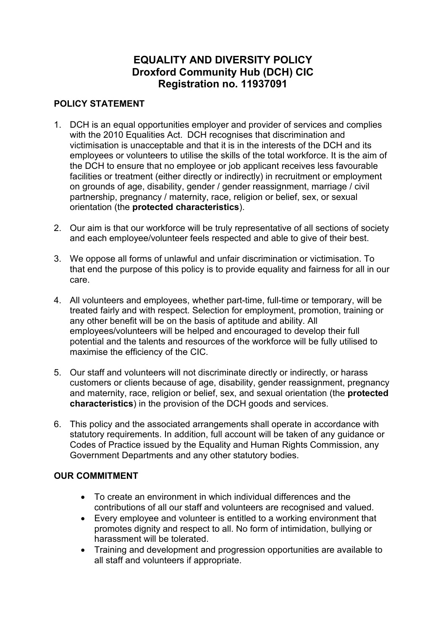# **EQUALITY AND DIVERSITY POLICY Droxford Community Hub (DCH) CIC Registration no. 11937091**

### **POLICY STATEMENT**

- 1. DCH is an equal opportunities employer and provider of services and complies with the 2010 Equalities Act. DCH recognises that discrimination and victimisation is unacceptable and that it is in the interests of the DCH and its employees or volunteers to utilise the skills of the total workforce. It is the aim of the DCH to ensure that no employee or job applicant receives less favourable facilities or treatment (either directly or indirectly) in recruitment or employment on grounds of age, disability, gender / gender reassignment, marriage / civil partnership, pregnancy / maternity, race, religion or belief, sex, or sexual orientation (the **protected characteristics**).
- 2. Our aim is that our workforce will be truly representative of all sections of society and each employee/volunteer feels respected and able to give of their best.
- 3. We oppose all forms of unlawful and unfair discrimination or victimisation. To that end the purpose of this policy is to provide equality and fairness for all in our care.
- 4. All volunteers and employees, whether part-time, full-time or temporary, will be treated fairly and with respect. Selection for employment, promotion, training or any other benefit will be on the basis of aptitude and ability. All employees/volunteers will be helped and encouraged to develop their full potential and the talents and resources of the workforce will be fully utilised to maximise the efficiency of the CIC.
- 5. Our staff and volunteers will not discriminate directly or indirectly, or harass customers or clients because of age, disability, gender reassignment, pregnancy and maternity, race, religion or belief, sex, and sexual orientation (the **protected characteristics**) in the provision of the DCH goods and services.
- 6. This policy and the associated arrangements shall operate in accordance with statutory requirements. In addition, full account will be taken of any guidance or Codes of Practice issued by the Equality and Human Rights Commission, any Government Departments and any other statutory bodies.

### **OUR COMMITMENT**

- To create an environment in which individual differences and the contributions of all our staff and volunteers are recognised and valued.
- Every employee and volunteer is entitled to a working environment that promotes dignity and respect to all. No form of intimidation, bullying or harassment will be tolerated.
- Training and development and progression opportunities are available to all staff and volunteers if appropriate.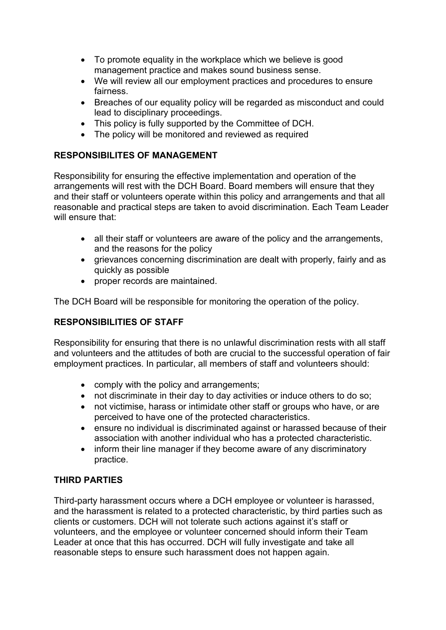- To promote equality in the workplace which we believe is good management practice and makes sound business sense.
- We will review all our employment practices and procedures to ensure fairness.
- Breaches of our equality policy will be regarded as misconduct and could lead to disciplinary proceedings.
- This policy is fully supported by the Committee of DCH.
- The policy will be monitored and reviewed as required

# **RESPONSIBILITES OF MANAGEMENT**

Responsibility for ensuring the effective implementation and operation of the arrangements will rest with the DCH Board. Board members will ensure that they and their staff or volunteers operate within this policy and arrangements and that all reasonable and practical steps are taken to avoid discrimination. Each Team Leader will ensure that:

- all their staff or volunteers are aware of the policy and the arrangements, and the reasons for the policy
- grievances concerning discrimination are dealt with properly, fairly and as quickly as possible
- proper records are maintained.

The DCH Board will be responsible for monitoring the operation of the policy.

### **RESPONSIBILITIES OF STAFF**

Responsibility for ensuring that there is no unlawful discrimination rests with all staff and volunteers and the attitudes of both are crucial to the successful operation of fair employment practices. In particular, all members of staff and volunteers should:

- comply with the policy and arrangements;
- not discriminate in their day to day activities or induce others to do so;
- not victimise, harass or intimidate other staff or groups who have, or are perceived to have one of the protected characteristics.
- ensure no individual is discriminated against or harassed because of their association with another individual who has a protected characteristic.
- inform their line manager if they become aware of any discriminatory practice.

# **THIRD PARTIES**

Third-party harassment occurs where a DCH employee or volunteer is harassed, and the harassment is related to a protected characteristic, by third parties such as clients or customers. DCH will not tolerate such actions against it's staff or volunteers, and the employee or volunteer concerned should inform their Team Leader at once that this has occurred. DCH will fully investigate and take all reasonable steps to ensure such harassment does not happen again.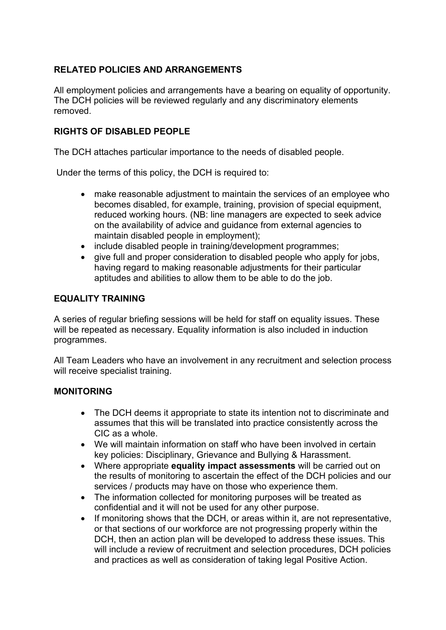### **RELATED POLICIES AND ARRANGEMENTS**

All employment policies and arrangements have a bearing on equality of opportunity. The DCH policies will be reviewed regularly and any discriminatory elements removed.

### **RIGHTS OF DISABLED PEOPLE**

The DCH attaches particular importance to the needs of disabled people.

Under the terms of this policy, the DCH is required to:

- make reasonable adjustment to maintain the services of an employee who becomes disabled, for example, training, provision of special equipment, reduced working hours. (NB: line managers are expected to seek advice on the availability of advice and guidance from external agencies to maintain disabled people in employment);
- include disabled people in training/development programmes;
- give full and proper consideration to disabled people who apply for jobs, having regard to making reasonable adjustments for their particular aptitudes and abilities to allow them to be able to do the job.

#### **EQUALITY TRAINING**

A series of regular briefing sessions will be held for staff on equality issues. These will be repeated as necessary. Equality information is also included in induction programmes.

All Team Leaders who have an involvement in any recruitment and selection process will receive specialist training.

#### **MONITORING**

- The DCH deems it appropriate to state its intention not to discriminate and assumes that this will be translated into practice consistently across the CIC as a whole.
- We will maintain information on staff who have been involved in certain key policies: Disciplinary, Grievance and Bullying & Harassment.
- Where appropriate **equality impact assessments** will be carried out on the results of monitoring to ascertain the effect of the DCH policies and our services / products may have on those who experience them.
- The information collected for monitoring purposes will be treated as confidential and it will not be used for any other purpose.
- If monitoring shows that the DCH, or areas within it, are not representative, or that sections of our workforce are not progressing properly within the DCH, then an action plan will be developed to address these issues. This will include a review of recruitment and selection procedures, DCH policies and practices as well as consideration of taking legal Positive Action.